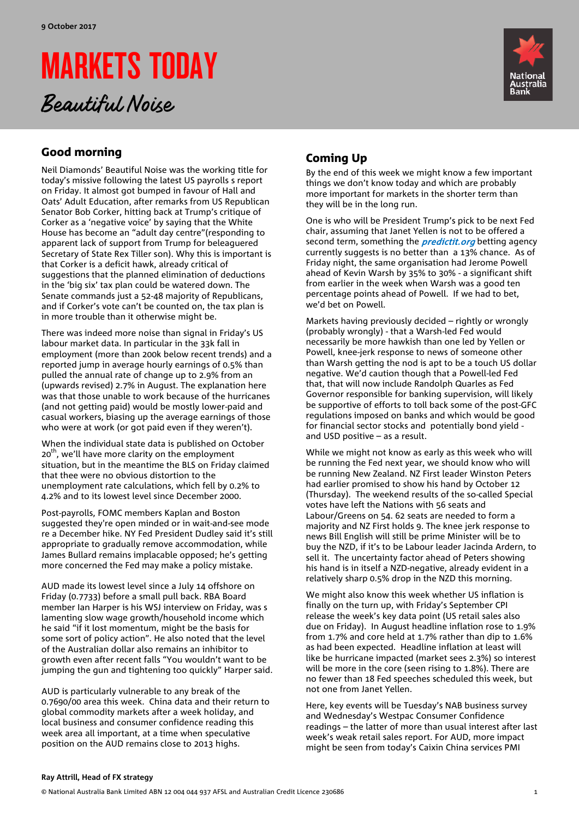# MARKETS TODAY





# Good morning

Neil Diamonds' Beautiful Noise was the working title for today's missive following the latest US payrolls s report on Friday. It almost got bumped in favour of Hall and Oats' Adult Education, after remarks from US Republican Senator Bob Corker, hitting back at Trump's critique of Corker as a 'negative voice' by saying that the White House has become an "adult day centre"(responding to apparent lack of support from Trump for beleaguered Secretary of State Rex Tiller son). Why this is important is that Corker is a deficit hawk, already critical of suggestions that the planned elimination of deductions in the 'big six' tax plan could be watered down. The Senate commands just a 52-48 majority of Republicans, and if Corker's vote can't be counted on, the tax plan is in more trouble than it otherwise might be.

There was indeed more noise than signal in Friday's US labour market data. In particular in the 33k fall in employment (more than 200k below recent trends) and a reported jump in average hourly earnings of 0.5% than pulled the annual rate of change up to 2.9% from an (upwards revised) 2.7% in August. The explanation here was that those unable to work because of the hurricanes (and not getting paid) would be mostly lower-paid and casual workers, biasing up the average earnings of those who were at work (or got paid even if they weren't).

When the individual state data is published on October  $20<sup>th</sup>$ , we'll have more clarity on the employment situation, but in the meantime the BLS on Friday claimed that thee were no obvious distortion to the unemployment rate calculations, which fell by 0.2% to 4.2% and to its lowest level since December 2000.

Post-payrolls, FOMC members Kaplan and Boston suggested they're open minded or in wait-and-see mode re a December hike. NY Fed President Dudley said it's still appropriate to gradually remove accommodation, while James Bullard remains implacable opposed; he's getting more concerned the Fed may make a policy mistake.

AUD made its lowest level since a July 14 offshore on Friday (0.7733) before a small pull back. RBA Board member Ian Harper is his WSJ interview on Friday, was s lamenting slow wage growth/household income which he said "if it lost momentum, might be the basis for some sort of policy action". He also noted that the level of the Australian dollar also remains an inhibitor to growth even after recent falls "You wouldn't want to be jumping the gun and tightening too quickly" Harper said.

AUD is particularly vulnerable to any break of the 0.7690/00 area this week. China data and their return to global commodity markets after a week holiday, and local business and consumer confidence reading this week area all important, at a time when speculative position on the AUD remains close to 2013 highs.

# Coming Up

By the end of this week we might know a few important things we don't know today and which are probably more important for markets in the shorter term than they will be in the long run.

One is who will be President Trump's pick to be next Fed chair, assuming that Janet Yellen is not to be offered a second term, something the *predictit.org* betting agency currently suggests is no better than a 13% chance. As of Friday night, the same organisation had Jerome Powell ahead of Kevin Warsh by 35% to 30% - a significant shift from earlier in the week when Warsh was a good ten percentage points ahead of Powell. If we had to bet, we'd bet on Powell.

Markets having previously decided – rightly or wrongly (probably wrongly) - that a Warsh-led Fed would necessarily be more hawkish than one led by Yellen or Powell, knee-jerk response to news of someone other than Warsh getting the nod is apt to be a touch US dollar negative. We'd caution though that a Powell-led Fed that, that will now include Randolph Quarles as Fed Governor responsible for banking supervision, will likely be supportive of efforts to toll back some of the post-GFC regulations imposed on banks and which would be good for financial sector stocks and potentially bond yield and USD positive – as a result.

While we might not know as early as this week who will be running the Fed next year, we should know who will be running New Zealand. NZ First leader Winston Peters had earlier promised to show his hand by October 12 (Thursday). The weekend results of the so-called Special votes have left the Nations with 56 seats and Labour/Greens on 54. 62 seats are needed to form a majority and NZ First holds 9. The knee jerk response to news Bill English will still be prime Minister will be to buy the NZD, if it's to be Labour leader Jacinda Ardern, to sell it. The uncertainty factor ahead of Peters showing his hand is in itself a NZD-negative, already evident in a relatively sharp 0.5% drop in the NZD this morning.

We might also know this week whether US inflation is finally on the turn up, with Friday's September CPI release the week's key data point (US retail sales also due on Friday). In August headline inflation rose to 1.9% from 1.7% and core held at 1.7% rather than dip to 1.6% as had been expected. Headline inflation at least will like be hurricane impacted (market sees 2.3%) so interest will be more in the core (seen rising to 1.8%). There are no fewer than 18 Fed speeches scheduled this week, but not one from Janet Yellen.

Here, key events will be Tuesday's NAB business survey and Wednesday's Westpac Consumer Confidence readings – the latter of more than usual interest after last week's weak retail sales report. For AUD, more impact might be seen from today's Caixin China services PMI

#### **Ray Attrill, Head of FX strategy**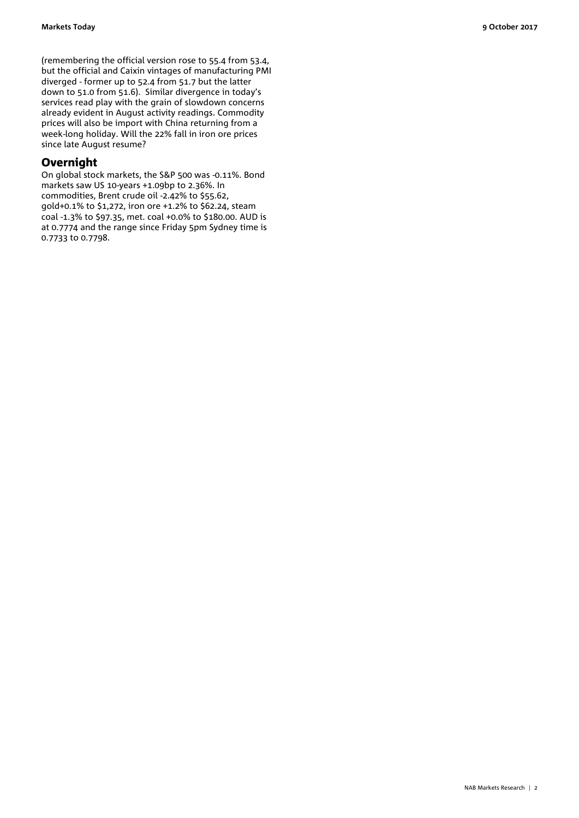(remembering the official version rose to 55.4 from 53.4, but the official and Caixin vintages of manufacturing PMI diverged - former up to 52.4 from 51.7 but the latter down to 51.0 from 51.6). Similar divergence in today's services read play with the grain of slowdown concerns already evident in August activity readings. Commodity prices will also be import with China returning from a week-long holiday. Will the 22% fall in iron ore prices

## **Overnight**

since late August resume?

On global stock markets, the S&P 500 was -0.11%. Bond markets saw US 10-years +1.09bp to 2.36%. In commodities, Brent crude oil -2.42% to \$55.62, gold+0.1% to \$1,272, iron ore +1.2% to \$62.24, steam coal -1.3% to \$97.35, met. coal +0.0% to \$180.00. AUD is at 0.7774 and the range since Friday 5pm Sydney time is 0.7733 to 0.7798.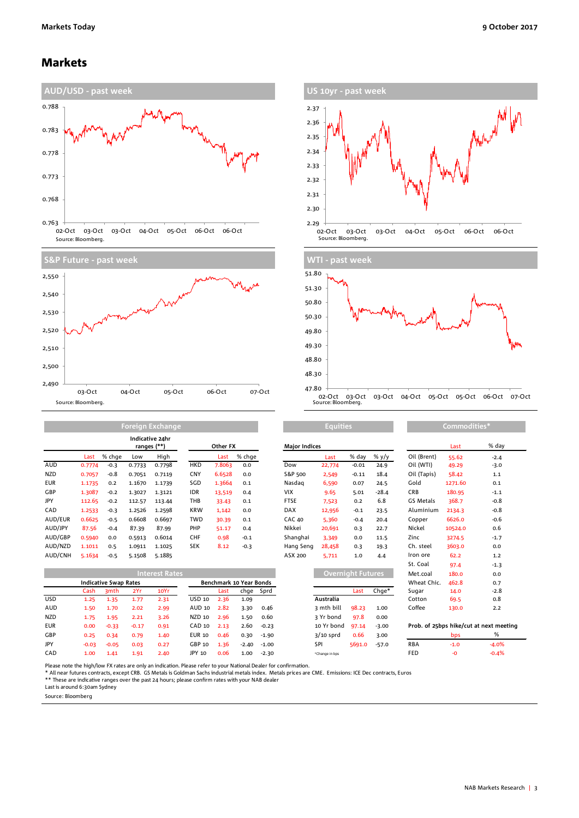### Markets









|            |        | Indicative 24hr<br>ranges (**) |        |        |            | Other FX |        | <b>Major Indices</b> |        |         |         | Last        | % da    |        |
|------------|--------|--------------------------------|--------|--------|------------|----------|--------|----------------------|--------|---------|---------|-------------|---------|--------|
|            | Last   | % chae                         | Low    | High   |            | Last     | % chge |                      | Last   | % day   | % $y/y$ | Oil (Brent) | 55.62   | $-2.4$ |
| AUD        | 0.7774 | $-0.3$                         | 0.7733 | 0.7798 | <b>HKD</b> | 7.8063   | 0.0    | Dow                  | 22,774 | $-0.01$ | 24.9    | Oil (WTI)   | 49.29   | $-3.0$ |
| <b>NZD</b> | 0.7057 | $-0.8$                         | 0.7051 | 0.7119 | <b>CNY</b> | 6.6528   | 0.0    | S&P 500              | 2,549  | $-0.11$ | 18.4    | Oil (Tapis) | 58.42   | 1.1    |
| <b>EUR</b> | 1.1735 | 0.2                            | 1.1670 | 1.1739 | SGD        | 1.3664   | 0.1    | Nasdag               | 6,590  | 0.07    | 24.5    | Gold        | 1271.60 | 0.1    |
| GBP        | 1.3087 | $-0.2$                         | 1.3027 | 1.3121 | <b>IDR</b> | 13,519   | 0.4    | <b>VIX</b>           | 9.65   | 5.01    | $-28.4$ | <b>CRB</b>  | 180.95  | $-1.1$ |
| JPY        | 112.65 | $-0.2$                         | 112.57 | 113.44 | THB        | 33.43    | 0.1    | <b>FTSE</b>          | 7,523  | 0.2     | 6.8     | GS Metals   | 368.7   | $-0.8$ |
| CAD        | 1.2533 | $-0.3$                         | 1.2526 | 1.2598 | <b>KRW</b> | 1,142    | 0.0    | <b>DAX</b>           | 12,956 | $-0.1$  | 23.5    | Aluminium   | 2134.3  | $-0.8$ |
| AUD/EUR    | 0.6625 | $-0.5$                         | 0.6608 | 0.6697 | <b>TWD</b> | 30.39    | 0.1    | <b>CAC 40</b>        | 5,360  | $-0.4$  | 20.4    | Copper      | 6626.0  | $-0.6$ |
| AUD/JPY    | 87.56  | $-0.4$                         | 87.39  | 87.99  | PHP        | 51.17    | 0.4    | Nikkei               | 20,691 | 0.3     | 22.7    | Nickel      | 10524.0 | 0.6    |
| AUD/GBP    | 0.5940 | 0.0                            | 0.5913 | 0.6014 | <b>CHF</b> | 0.98     | $-0.1$ | Shanghai             | 3.349  | 0.0     | 11.5    | Zinc        | 3274.5  | $-1.7$ |
| AUD/NZD    | 1.1011 | 0.5                            | 1.0911 | 1.1025 | <b>SEK</b> | 8.12     | $-0.3$ | Hang Seng            | 28,458 | 0.3     | 19.3    | Ch. steel   | 3603.0  | 0.0    |
| AUD/CNH    | 5.1634 | $-0.5$                         | 5.1508 | 5.1885 |            |          |        | ASX 200              | 5.711  | 1.0     | 4.4     | Iron ore    | 62.2    | 1.2    |

**Foreign Exchange**

|            |         |                              |         | <b>Interest Rates</b> |               |      |                         |           |                | <b>Overnight Futures</b> |         | Met.coal    | 180.0  | 0.0                                     |
|------------|---------|------------------------------|---------|-----------------------|---------------|------|-------------------------|-----------|----------------|--------------------------|---------|-------------|--------|-----------------------------------------|
|            |         | <b>Indicative Swap Rates</b> |         |                       |               |      | Benchmark 10 Year Bonds |           |                |                          |         | Wheat Chic. | 462.8  | 0.7                                     |
|            | Cash    | 3mth                         | 2Yr     | 10Yr                  |               | Last |                         | chge Sprd |                | Last                     | Chge*   | Sugar       | 14.0   | $-2.8$                                  |
| <b>USD</b> | 1.25    | 1.35                         | 1.77    | 2.31                  | USD 10        | 2.36 | 1.09                    |           | Australia      |                          |         | Cotton      | 69.5   | 0.8                                     |
| AUD        | 1.50    | 1.70                         | 2.02    | 2.99                  | AUD 10        | 2.82 | 3.30                    | 0.46      | 3 mth bill     | 98.23                    | 1.00    | Coffee      | 130.0  | 2.2                                     |
| NZD        | 1.75    | 1.95                         | 2.21    | 3.26                  | NZD 10        | 2.96 | 1.50                    | 0.60      | 3 Yr bond      | 97.8                     | 0.00    |             |        |                                         |
| <b>EUR</b> | 0.00    | $-0.33$                      | $-0.17$ | 0.91                  | CAD 10        | 2.13 | 2.60                    | $-0.23$   | 10 Yr bond     | 97.14                    | $-3.00$ |             |        | Prob. of 25bps hike/cut at next meeting |
| GBP        | 0.25    | 0.34                         | 0.79    | 1.40                  | <b>EUR 10</b> | 0.46 | 0.30                    | $-1.90$   | $3/10$ sprd    | 0.66                     | 3.00    |             | bps    | %                                       |
| JPY        | $-0.03$ | $-0.05$                      | 0.03    | 0.27                  | GBP 10        | 1.36 | $-2.40$                 | $-1.00$   | SPI            | 5691.0                   | $-57.0$ | <b>RBA</b>  | $-1.0$ | $-4.0%$                                 |
| CAD        | 1.00    | 1.41                         | 1.91    | 2.40                  | JPY 10        | 0.06 | 1.00                    | $-2.30$   | *Change in bps |                          |         | FED         | -0     | $-0.4%$                                 |

| Other FX |                      |         | <b>Major Indices</b> |                          |         |          |                                    | Last    | % day   |
|----------|----------------------|---------|----------------------|--------------------------|---------|----------|------------------------------------|---------|---------|
| Last     | % chge               |         |                      | Last                     | % day   | % y/y    | Oil (Brent)                        | 55.62   | $-2.4$  |
| 7.8063   | 0.0                  |         | Dow                  | 22,774                   | $-0.01$ | 24.9     | Oil (WTI)                          | 49.29   | $-3.0$  |
| 6.6528   | 0.0                  |         | S&P 500              | 2,549                    | $-0.11$ | 18.4     | Oil (Tapis)                        | 58.42   | 1.1     |
| 1.3664   | 0.1                  |         | Nasdag               | 6,590                    | 0.07    | 24.5     | Gold                               | 1271.60 | 0.1     |
| 13,519   | 0.4                  |         | <b>VIX</b>           | 9.65                     | 5.01    | $-28.4$  | <b>CRB</b>                         | 180.95  | $-1.1$  |
| 33.43    | 0.1                  |         | <b>FTSE</b>          | 7,523                    | 0.2     | 6.8      | GS Metals                          | 368.7   | $-0.8$  |
| 1,142    | 0.0                  |         | DAX                  | 12,956                   | $-0.1$  | 23.5     | Aluminium                          | 2134.3  | $-0.8$  |
| 30.39    | 0.1                  |         | <b>CAC 40</b>        | 5,360                    | $-0.4$  | 20.4     | Copper                             | 6626.0  | $-0.6$  |
| 51.17    | 0.4                  |         | Nikkei               | 20,691                   | 0.3     | 22.7     | Nickel                             | 10524.0 | 0.6     |
| 0.98     | $-0.1$               |         | Shanghai             | 3,349                    | 0.0     | 11.5     | Zinc                               | 3274.5  | $-1.7$  |
| 8.12     | $-0.3$               |         | Hang Seng            | 28,458                   | 0.3     | 19.3     | Ch. steel                          | 3603.0  | 0.0     |
|          |                      |         | ASX 200              | 5,711                    | 1.0     | 4.4      | Iron ore                           | 62.2    | 1.2     |
|          |                      |         |                      |                          |         |          | St. Coal                           | 97.4    | $-1.3$  |
|          |                      |         |                      | <b>Overnight Futures</b> |         |          | Met.coal                           | 180.0   | 0.0     |
|          | chmark 10 Year Bonds |         |                      |                          |         |          | Wheat Chic.                        | 462.8   | 0.7     |
| Last     | chge                 | Sprd    |                      |                          | Last    | $Chqe^*$ | Sugar                              | 14.0    | $-2.8$  |
| 2.36     | 1.09                 |         |                      | Australia                |         |          | Cotton                             | 69.5    | 0.8     |
| 2.82     | 3.30                 | 0.46    |                      | 3 mth bill               | 98.23   | 1.00     | Coffee                             | 130.0   | 2.2     |
| 2.96     | 1.50                 | 0.60    |                      | 3 Yr bond                | 97.8    | 0.00     |                                    |         |         |
| 2.13     | 2.60                 | $-0.23$ |                      | 10 Yr bond               | 97.14   | $-3.00$  | Prob. of 25bps hike/cut at next me |         |         |
| 0.46     | 0.30                 | $-1.90$ |                      | $3/10$ sprd              | 0.66    | 3.00     |                                    | bps     | %       |
| 1.36     | $-2.40$              | $-1.00$ |                      | SPI                      | 5691.0  | $-57.0$  | <b>RBA</b>                         | $-1.0$  | $-4.0%$ |

| <b>Equities</b>          |         |         | Commodities* |         |                                         |  |  |  |
|--------------------------|---------|---------|--------------|---------|-----------------------------------------|--|--|--|
|                          |         |         |              | Last    | % day                                   |  |  |  |
| Last                     | % day   | % y/y   | Oil (Brent)  | 55.62   | $-2.4$                                  |  |  |  |
| 22,774                   | $-0.01$ | 24.9    | Oil (WTI)    | 49.29   | $-3.0$                                  |  |  |  |
| 2,549                    | $-0.11$ | 18.4    | Oil (Tapis)  | 58.42   | 1.1                                     |  |  |  |
| 6,590                    | 0.07    | 24.5    | Gold         | 1271.60 | 0.1                                     |  |  |  |
| 9.65                     | 5.01    | $-28.4$ | <b>CRB</b>   | 180.95  | $-1.1$                                  |  |  |  |
| 7,523                    | 0.2     | 6.8     | GS Metals    | 368.7   | $-0.8$                                  |  |  |  |
| 12,956                   | $-0.1$  | 23.5    | Aluminium    | 2134.3  | $-0.8$                                  |  |  |  |
| 5.360                    | $-0.4$  | 20.4    | Copper       | 6626.0  | $-0.6$                                  |  |  |  |
| 20,691                   | 0.3     | 22.7    | Nickel       | 10524.0 | 0.6                                     |  |  |  |
| 3.349                    | 0.0     | 11.5    | Zinc         | 3274.5  | $-1.7$                                  |  |  |  |
| 28,458                   | 0.3     | 19.3    | Ch. steel    | 3603.0  | 0.0                                     |  |  |  |
| 5.711                    | 1.0     | 4.4     | Iron ore     | 62.2    | 1.2                                     |  |  |  |
|                          |         |         | St. Coal     | 97.4    | $-1.3$                                  |  |  |  |
| <b>Overnight Futures</b> |         |         | Met.coal     | 180.0   | 0.0                                     |  |  |  |
|                          |         |         | Wheat Chic.  | 462.8   | 0.7                                     |  |  |  |
|                          | Last    | $Chqe*$ | Sugar        | 14.0    | $-2.8$                                  |  |  |  |
| stralia                  |         |         | Cotton       | 69.5    | 0.8                                     |  |  |  |
| ith bill                 | 98.23   | 1.00    | Coffee       | 130.0   | 2.2                                     |  |  |  |
| r bond                   | 97.8    | 0.00    |              |         |                                         |  |  |  |
| Yr bond                  | 97.14   | $-3.00$ |              |         | Prob. of 25bps hike/cut at next meeting |  |  |  |
|                          |         |         |              |         |                                         |  |  |  |

|            | bps    | %       |
|------------|--------|---------|
| <b>RBA</b> | $-1.0$ | $-4.0%$ |
| <b>FED</b> | -∩     | $-0.4%$ |

Please note the high/low FX rates are only an indication. Please refer to your National Dealer for confirmation.

\* All near futures contracts, except CRB. GS Metals is Goldman Sachs industrial metals index. Metals prices are CME. Emissions: ICE Dec contracts, Euros<br>\*\* These are indicative ranges over the past 24 hours; please confirm

Last is around 6:30am Sydney

Source: Bloomberg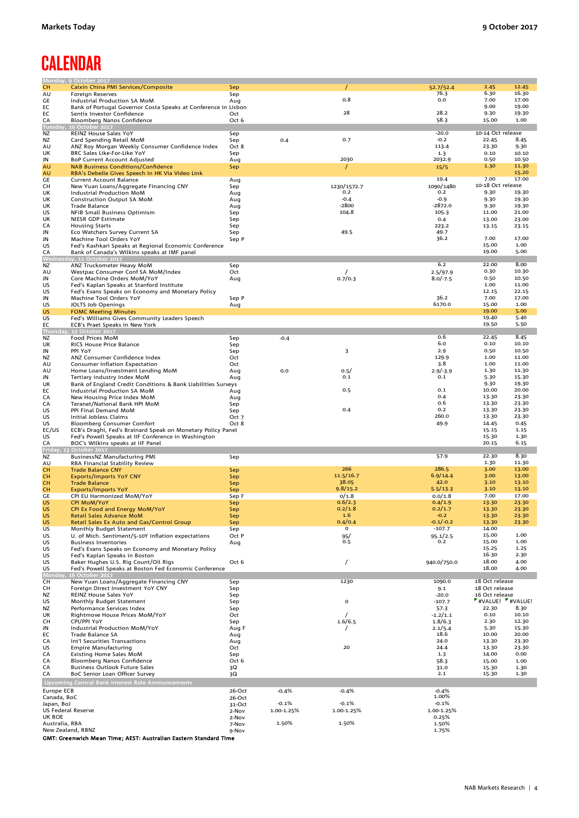# **CALENDAR**

|                           | Monday, 9 October 2017                                         |                |            |             |                |                   |                   |
|---------------------------|----------------------------------------------------------------|----------------|------------|-------------|----------------|-------------------|-------------------|
| <b>CH</b>                 | Caixin China PMI Services/Composite                            | Sep            |            |             | 52.7/52.4      | 2.45              | 12.45             |
| AU                        | <b>Foreign Reserves</b>                                        | Sep            |            |             | 76.3           | 6.30              | 16.30             |
| GE                        | Industrial Production SA MoM                                   | Aug            |            | 0.8         | 0.0            | 7.00              | 17.00             |
| EC                        | Bank of Portugal Governor Costa Speaks at Conference in Lisbon |                |            |             |                | 9.00              | 19.00             |
| EC                        | Sentix Investor Confidence                                     | Oct            |            | 28          | 28.2           | 9.30              | 19.30             |
|                           |                                                                |                |            |             |                |                   |                   |
| CA                        | Bloomberg Nanos Confidence                                     | Oct 6          |            |             | 58.3           | 15.00             | 1.00              |
|                           | Tuesday, 10 October 2017                                       |                |            |             |                |                   |                   |
| <b>NZ</b>                 | REINZ House Sales YoY                                          | Sep            |            |             | $-20.0$        | 10-14 Oct release |                   |
| NZ                        | Card Spending Retail MoM                                       | Sep            | 0.4        | 0.7         | $-0.2$         | 22.45             | 8.45              |
| AU                        | ANZ Roy Morgan Weekly Consumer Confidence Index                | Oct 8          |            |             | 113.4          | 23.30             | 9.30              |
| UK                        |                                                                |                |            |             | 1.3            | 0.10              | 10.10             |
|                           | BRC Sales Like-For-Like YoY                                    | Sep            |            | 2030        |                | 0.50              | 10.50             |
| JN                        | BoP Current Account Adjusted                                   | Aug            |            |             | 2032.9         |                   |                   |
| AU                        | <b>NAB Business Conditions/Confidence</b>                      | Sep            |            | T           | 15/5           | 1.30              | 11.30             |
| AU                        | RBA's Debelle Gives Speech in HK Via Video Link                |                |            |             |                |                   | 15.20             |
| GE                        | Current Account Balance                                        | Aug            |            |             | 19.4           | 7.00              | 17.00             |
| CН                        | New Yuan Loans/Aggregate Financing CNY                         | Sep            |            | 1230/1572.7 | 1090/1480      | 10-18 Oct release |                   |
|                           |                                                                |                |            | 0.2         | 0.2            | 9.30              | 19.30             |
| UK                        | Industrial Production MoM                                      | Aug            |            |             |                |                   |                   |
| UK                        | <b>Construction Output SA MoM</b>                              | Aug            |            | $-0.4$      | -0.9           | 9.30              | 19.30             |
| UK                        | Trade Balance                                                  | Aug            |            | $-2800$     | $-2872.0$      | 9.30              | 19.30             |
| US                        | NFIB Small Business Optimism                                   | Sep            |            | 104.8       | 105.3          | 11.00             | 21.00             |
| UK                        | NIESR GDP Estimate                                             | Sep            |            |             | 0.4            | 13.00             | 23.00             |
| CA                        | <b>Housing Starts</b>                                          | Sep            |            |             | 223.2          | 13.15             | 23.15             |
|                           |                                                                |                |            |             |                |                   |                   |
| JN                        | Eco Watchers Survey Current SA                                 | Sep            |            | 49.5        | 49.7           |                   |                   |
| JN                        | Machine Tool Orders YoY                                        | Sep P          |            |             | 36.2           | 7.00              | 17.00             |
| US                        | Fed's Kashkari Speaks at Regional Economic Conference          |                |            |             |                | 15.00             | 1.00              |
| CA                        | Bank of Canada's Wilkins speaks at IMF panel                   |                |            |             |                | 19.00             | 5.00              |
|                           | Nednesday, 11 October 2017                                     |                |            |             |                |                   |                   |
| <b>NZ</b>                 | ANZ Truckometer Heavy MoM                                      | Sep            |            |             | 6.2            | 22.00             | 8.00              |
|                           |                                                                |                |            |             |                | 0.30              | 10.30             |
| AU                        | Westpac Consumer Conf SA MoM/Index                             | Oct            |            | $\prime$    | 2.5/97.9       |                   |                   |
| JN                        | Core Machine Orders MoM/YoY                                    | Aug            |            | 0.7/0.3     | $8.0/-7.5$     | 0.50              | 10.50             |
| US                        | Fed's Kaplan Speaks at Stanford Institute                      |                |            |             |                | 1.00              | 11.00             |
| US                        | Fed's Evans Speaks on Economy and Monetary Policy              |                |            |             |                | 12.15             | 22.15             |
| JN                        | Machine Tool Orders YoY                                        | Sep P          |            |             | 36.2           | 7.00              | 17.00             |
| US                        |                                                                |                |            |             | 6170.0         | 15.00             | 1.00              |
|                           | JOLTS Job Openings                                             | Aug            |            |             |                |                   |                   |
| <b>US</b>                 | <b>FOMC Meeting Minutes</b>                                    |                |            |             |                | 19.00             | 5.00              |
| US                        | Fed's Williams Gives Community Leaders Speech                  |                |            |             |                | 19.40             | 5.40              |
| EC                        | ECB's Praet Speaks in New York                                 |                |            |             |                | 19.50             | 5.50              |
| Thursday                  | 12 October 2017                                                |                |            |             |                |                   |                   |
| NZ                        | Food Prices MoM                                                | Sep            | $-0.4$     |             | 0.6            | 22.45             | 8.45              |
| UK                        | RICS House Price Balance                                       |                |            |             | 6.0            | 0.10              | 10.10             |
|                           |                                                                | Sep            |            |             |                |                   |                   |
| JN                        | PPI YoY                                                        | Sep            |            | 3           | 2.9            | 0.50              | 10.50             |
| <b>NZ</b>                 | ANZ Consumer Confidence Index                                  | Oct            |            |             | 129.9          | 1.00              | 11.00             |
| AU                        | Consumer Inflation Expectation                                 | Oct            |            |             | 3.8            | 1.00              | 11.00             |
| AU                        | Home Loans/Investment Lending MoM                              | Aug            | 0.0        | 0.5/        | $2.9/-3.9$     | 1.30              | 11.30             |
| JN                        | Tertiary Industry Index MoM                                    | Aug            |            | 0.1         | 0.1            | 5.30              | 15.30             |
|                           |                                                                |                |            |             |                | 9.30              | 19.30             |
| UK                        | Bank of England Credit Conditions & Bank Liabilities Surveys   |                |            |             |                |                   |                   |
| EC                        | Industrial Production SA MoM                                   | Aug            |            | 0.5         | 0.1            | 10.00             | 20.00             |
| CA                        | New Housing Price Index MoM                                    | Aug            |            |             | 0.4            | 13.30             | 23.30             |
| CA                        | Teranet/National Bank HPI MoM                                  | Sep            |            |             | 0.6            | 13.30             | 23.30             |
| US                        | PPI Final Demand MoM                                           | Sep            |            | 0.4         | 0.2            | 13.30             | 23.30             |
|                           |                                                                |                |            |             | 260.0          | 13.30             | 23.30             |
| US                        | Initial Jobless Claims                                         | Oct 7          |            |             |                |                   |                   |
| US.                       | Bloomberg Consumer Comfort                                     | Oct 8          |            |             | 49.9           | 14.45             | 0.45              |
| EC/US                     | ECB's Draghi, Fed's Brainard Speak on Monetary Policy Panel    |                |            |             |                | 15.15             | 1.15              |
| US                        | Fed's Powell Speaks at IIF Conference in Washington            |                |            |             |                | 15.30             | 1.30              |
| CA                        | BOC's Wilkins speaks at IIF Panel                              |                |            |             |                | 20.15             | 6.15              |
| Friday,                   | 13 October 2017                                                |                |            |             |                |                   |                   |
|                           |                                                                |                |            |             |                | 22.30             | 8.30              |
| <b>NZ</b>                 | BusinessNZ Manufacturing PMI                                   | Sep            |            |             | 57.9           |                   |                   |
| AU                        | RBA Financial Stability Review                                 |                |            |             |                | 1.30              | 11.30             |
| <b>CH</b>                 | <b>Trade Balance CNY</b>                                       | Sep            |            | 266         | 286.5          | 3.00              | 13.00             |
| <b>CH</b>                 | <b>Exports/Imports YoY CNY</b>                                 | Sep            |            | 11.5/16.7   | 6.9/14.4       | 3.00              | 13.00             |
| <b>CH</b>                 | <b>Trade Balance</b>                                           | Sep            |            | 38.05       | 42.0           | 3.10              | 13.10             |
| <b>CH</b>                 | <b>Exports/Imports YoY</b>                                     | Sep            |            | 9.8/15.2    | 5.5/13.3       | 3.10              | 13.10             |
|                           |                                                                |                |            |             |                |                   |                   |
| GE                        | CPI EU Harmonized MoM/YoY                                      | Sep F          |            | 0/1.8       | 0.0/1.8        | 7.00              | 17.00             |
| <b>US</b>                 | <b>CPI MoM/YoY</b>                                             | Sep            |            | 0.6/2.3     | 0.4/1.9        | 13.30             | 23.30             |
| <b>US</b>                 | CPI Ex Food and Energy MoM/YoY                                 | Sep            |            | 0.2/1.8     | 0.2/1.7        | 13.30             | 23.30             |
| US                        | Retail Sales Advance MoM                                       | Sep            |            | 1.6         | $-0.2$         | 13.30             | 23.30             |
| <b>US</b>                 | Retail Sales Ex Auto and Gas/Control Group                     | Sep            |            | 0.4/0.4     | $-0.1/-0.2$    | 13.30             | 23.30             |
| US                        | Monthly Budget Statement                                       | Sep            |            | 0           | $-107.7$       | 14.00             |                   |
|                           |                                                                |                |            |             |                | 15.00             | 1.00              |
| US                        | U. of Mich. Sentiment/5-10Y Inflation expectations             | Oct P          |            | 95/         | 95.1/2.5       |                   |                   |
| US                        | <b>Business Inventories</b>                                    | Aug            |            | 0.5         | 0.2            | 15.00             | 1.00              |
| US                        | Fed's Evans Speaks on Economy and Monetary Policy              |                |            |             |                | 15.25             | 1.25              |
| US                        | Fed's Kaplan Speaks in Boston                                  |                |            |             |                | 16.30             | 2.30              |
| US                        | Baker Hughes U.S. Rig Count/Oil Rigs                           | Oct 6          |            | 7           | 940.0/750.0    | 18.00             | 4.00              |
| US                        | Fed's Powell Speaks at Boston Fed Economic Conference          |                |            |             |                | 18.00             | 4.00              |
|                           | Monday, 16 October 2017                                        |                |            |             |                |                   |                   |
|                           | New Yuan Loans/Aggregate Financing CNY                         |                |            |             |                | -18 Oct release   |                   |
| CH                        |                                                                | Sep            |            | 1230        | 1090.0         |                   |                   |
| CН                        | Foreign Direct Investment YoY CNY                              | Sep            |            |             | 9.1            | -18 Oct release   |                   |
| NZ                        | REINZ House Sales YoY                                          | Sep            |            |             | $-20.0$        | 16 Oct release    |                   |
| US                        | Monthly Budget Statement                                       | Sep            |            | o           | $-107.7$       |                   | "#VALUE! "#VALUE! |
| <b>NZ</b>                 | Performance Services Index                                     | Sep            |            |             | 57.3           | 22.30             | 8.30              |
| UK                        | Rightmove House Prices MoM/YoY                                 | Oct            |            |             | $-1.2/1.1$     | 0.10              | 10.10             |
|                           |                                                                |                |            |             |                |                   |                   |
| CH                        | CPI/PPI YoY                                                    | Sep            |            | 1.6/6.5     | 1.8/6.3        | 2.30              | 12.30             |
| JN                        | Industrial Production MoM/YoY                                  | Aug F          |            |             | 2.1/5.4        | 5.30              | 15.30             |
| EC                        | <b>Trade Balance SA</b>                                        | Aug            |            |             | 18.6           | 10.00             | 20.00             |
| CA                        |                                                                |                |            |             | 24.0           | 13.30             | 23.30             |
| US                        | Int'l Securities Transactions                                  |                |            | 20          | 24.4           | 13.30             | 23.30             |
|                           |                                                                | Aug            |            |             |                |                   |                   |
|                           | <b>Empire Manufacturing</b>                                    | Oct            |            |             |                |                   |                   |
| CA                        | Existing Home Sales MoM                                        | Sep            |            |             | 1.3            | 14.00             | 0.00              |
| CA                        | Bloomberg Nanos Confidence                                     | Oct 6          |            |             | 58.3           | 15.00             | 1.00              |
| CA                        | <b>Business Outlook Future Sales</b>                           | 3Q             |            |             | 31.0           | 15.30             | 1.30              |
| CA                        | BoC Senior Loan Officer Survey                                 | 3Q             |            |             | 2.1            | 15.30             | 1.30              |
|                           |                                                                |                |            |             |                |                   |                   |
|                           | Upcoming Central Bank Interest Rate Announcements              |                |            |             |                |                   |                   |
| Europe ECB                |                                                                | 26-Oct         | $-0.4%$    | $-0.4%$     | $-0.4%$        |                   |                   |
| Canada, BoC               |                                                                |                |            |             | 1.00%          |                   |                   |
|                           |                                                                | 26-Oct         |            |             |                |                   |                   |
| Japan, BoJ                |                                                                | 31-Oct         | $-0.1%$    | $-0.1%$     | $-0.1%$        |                   |                   |
| <b>US Federal Reserve</b> |                                                                | 2-Nov          | 1.00-1.25% | 1.00-1.25%  | 1.00-1.25%     |                   |                   |
| UK BOE                    |                                                                | 2-Nov          |            |             | 0.25%          |                   |                   |
| Australia, RBA            | New Zealand, RBNZ                                              | 7-Nov<br>9-Nov | 1.50%      | 1.50%       | 1.50%<br>1.75% |                   |                   |

GMT: Greenwich Mean Time; AEST: Australian Eastern Standard Time